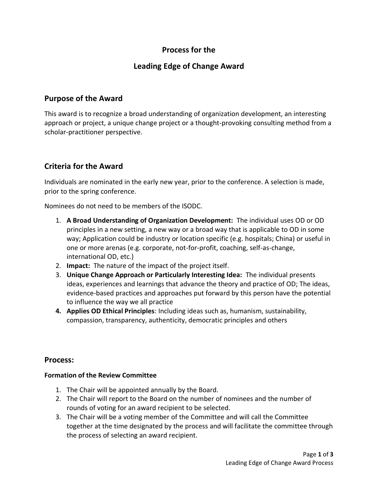# **Process for the**

# **Leading Edge of Change Award**

### **Purpose of the Award**

This award is to recognize a broad understanding of organization development, an interesting approach or project, a unique change project or a thought-provoking consulting method from a scholar-practitioner perspective.

## **Criteria for the Award**

Individuals are nominated in the early new year, prior to the conference. A selection is made, prior to the spring conference.

Nominees do not need to be members of the ISODC.

- 1. **A Broad Understanding of Organization Development:** The individual uses OD or OD principles in a new setting, a new way or a broad way that is applicable to OD in some way; Application could be industry or location specific (e.g. hospitals; China) or useful in one or more arenas (e.g. corporate, not-for-profit, coaching, self-as-change, international OD, etc.)
- 2. **Impact:** The nature of the impact of the project itself.
- 3. **Unique Change Approach or Particularly Interesting Idea:** The individual presents ideas, experiences and learnings that advance the theory and practice of OD; The ideas, evidence-based practices and approaches put forward by this person have the potential to influence the way we all practice
- **4. Applies OD Ethical Principles**: Including ideas such as, humanism, sustainability, compassion, transparency, authenticity, democratic principles and others

### **Process:**

#### **Formation of the Review Committee**

- 1. The Chair will be appointed annually by the Board.
- 2. The Chair will report to the Board on the number of nominees and the number of rounds of voting for an award recipient to be selected.
- 3. The Chair will be a voting member of the Committee and will call the Committee together at the time designated by the process and will facilitate the committee through the process of selecting an award recipient.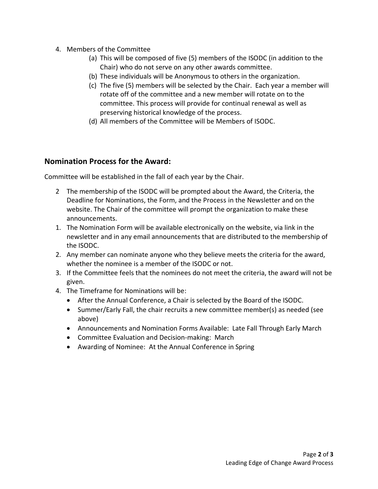- 4. Members of the Committee
	- (a) This will be composed of five (5) members of the ISODC (in addition to the Chair) who do not serve on any other awards committee.
	- (b) These individuals will be Anonymous to others in the organization.
	- (c) The five (5) members will be selected by the Chair. Each year a member will rotate off of the committee and a new member will rotate on to the committee. This process will provide for continual renewal as well as preserving historical knowledge of the process.
	- (d) All members of the Committee will be Members of ISODC.

### **Nomination Process for the Award:**

Committee will be established in the fall of each year by the Chair.

- 2 The membership of the ISODC will be prompted about the Award, the Criteria, the Deadline for Nominations, the Form, and the Process in the Newsletter and on the website. The Chair of the committee will prompt the organization to make these announcements.
- 1. The Nomination Form will be available electronically on the website, via link in the newsletter and in any email announcements that are distributed to the membership of the ISODC.
- 2. Any member can nominate anyone who they believe meets the criteria for the award, whether the nominee is a member of the ISODC or not.
- 3. If the Committee feels that the nominees do not meet the criteria, the award will not be given.
- 4. The Timeframe for Nominations will be:
	- After the Annual Conference, a Chair is selected by the Board of the ISODC.
	- Summer/Early Fall, the chair recruits a new committee member(s) as needed (see above)
	- Announcements and Nomination Forms Available: Late Fall Through Early March
	- Committee Evaluation and Decision-making: March
	- Awarding of Nominee: At the Annual Conference in Spring